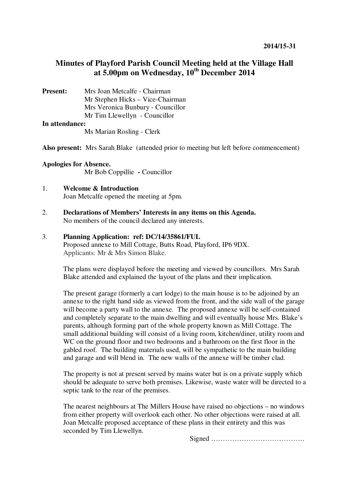# **Minutes of Playford Parish Council Meeting held at the Village Hall at 5.00pm on Wednesday, 10th December 2014**

**Present:** Mrs Joan Metcalfe - Chairman Mr Stephen Hicks – Vice-Chairman Mrs Veronica Bunbury - Councillor Mr Tim Llewellyn- Councillor

#### **In attendance:**

Ms Marian Rosling - Clerk

**Also present:** Mrs Sarah Blake (attended prior to meeting but left before commencement)

### **Apologies for Absence.**

Mr Bob Coppillie **-** Councillor

#### 1. **Welcome & Introduction**  Joan Metcalfe opened the meeting at 5pm.

2. **Declarations of Members' Interests in any items on this Agenda.**  No members of the council declared any interests.

# 3. **Planning Application: ref: DC/14/35861/FUL**

Proposed annexe to Mill Cottage, Butts Road, Playford, IP6 9DX. Applicants: Mr & Mrs Simon Blake.

The plans were displayed before the meeting and viewed by councillors. Mrs Sarah Blake attended and explained the layout of the plans and their implication.

The present garage (formerly a cart lodge) to the main house is to be adjoined by an annexe to the right hand side as viewed from the front, and the side wall of the garage will become a party wall to the annexe. The proposed annexe will be self-contained and completely separate to the main dwelling and will eventually house Mrs. Blake's parents, although forming part of the whole property known as Mill Cottage. The small additional building will consist of a living room, kitchen/diner, utility room and WC on the ground floor and two bedrooms and a bathroom on the first floor in the gabled roof. The building materials used, will be sympathetic to the main building and garage and will blend in. The new walls of the annexe will be timber clad.

The property is not at present served by mains water but is on a private supply which should be adequate to serve both premises. Likewise, waste water will be directed to a septic tank to the rear of the premises.

The nearest neighbours at The Millers House have raised no objections – no windows from either property will overlook each other. No other objections were raised at all. Joan Metcalfe proposed acceptance of these plans in their entirety and this was seconded by Tim Llewellyn.

Signed ………………………………….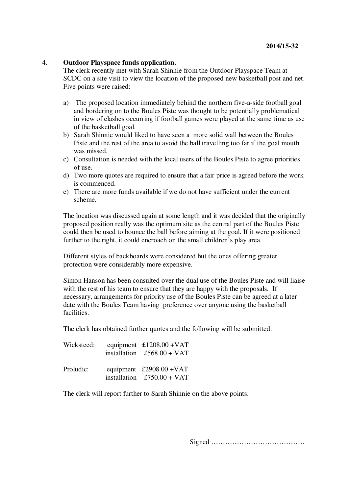#### 4. **Outdoor Playspace funds application.**

The clerk recently met with Sarah Shinnie from the Outdoor Playspace Team at SCDC on a site visit to view the location of the proposed new basketball post and net. Five points were raised:

- a) The proposed location immediately behind the northern five-a-side football goal and bordering on to the Boules Piste was thought to be potentially problematical in view of clashes occurring if football games were played at the same time as use of the basketball goal.
- b) Sarah Shinnie would liked to have seen a more solid wall between the Boules Piste and the rest of the area to avoid the ball travelling too far if the goal mouth was missed.
- c) Consultation is needed with the local users of the Boules Piste to agree priorities of use.
- d) Two more quotes are required to ensure that a fair price is agreed before the work is commenced.
- e) There are more funds available if we do not have sufficient under the current scheme.

The location was discussed again at some length and it was decided that the originally proposed position really was the optimum site as the central part of the Boules Piste could then be used to bounce the ball before aiming at the goal. If it were positioned further to the right, it could encroach on the small children's play area.

Different styles of backboards were considered but the ones offering greater protection were considerably more expensive.

Simon Hanson has been consulted over the dual use of the Boules Piste and will liaise with the rest of his team to ensure that they are happy with the proposals. If necessary, arrangements for priority use of the Boules Piste can be agreed at a later date with the Boules Team having preference over anyone using the basketball facilities.

The clerk has obtained further quotes and the following will be submitted:

| Wicksteed: | equipment £1208.00 + VAT<br>installation $£568.00 + VAT$ |
|------------|----------------------------------------------------------|
| Proludic:  | equipment £2908.00 + VAT<br>installation $£750.00 + VAT$ |

The clerk will report further to Sarah Shinnie on the above points.

Signed ………………………………….